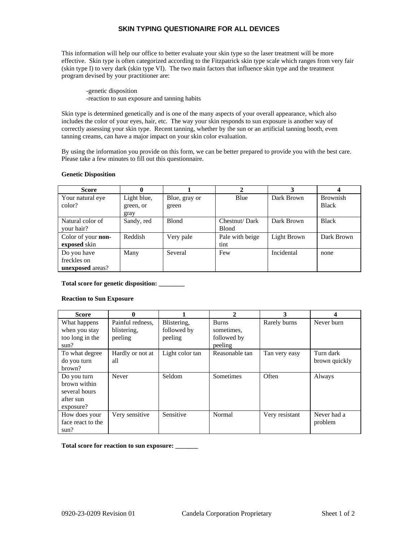## **SKIN TYPING QUESTIONAIRE FOR ALL DEVICES**

This information will help our office to better evaluate your skin type so the laser treatment will be more effective. Skin type is often categorized according to the Fitzpatrick skin type scale which ranges from very fair (skin type I) to very dark (skin type VI). The two main factors that influence skin type and the treatment program devised by your practitioner are:

 -genetic disposition -reaction to sun exposure and tanning habits

Skin type is determined genetically and is one of the many aspects of your overall appearance, which also includes the color of your eyes, hair, etc. The way your skin responds to sun exposure is another way of correctly assessing your skin type. Recent tanning, whether by the sun or an artificial tanning booth, even tanning creams, can have a major impact on your skin color evaluation.

By using the information you provide on this form, we can be better prepared to provide you with the best care. Please take a few minutes to fill out this questionnaire.

#### **Genetic Disposition**

| <b>Score</b>            | 0           |               |                 | 3           |                 |
|-------------------------|-------------|---------------|-----------------|-------------|-----------------|
| Your natural eye        | Light blue, | Blue, gray or | Blue            | Dark Brown  | <b>Brownish</b> |
| color?                  | green, or   | green         |                 |             | Black           |
|                         | gray        |               |                 |             |                 |
| Natural color of        | Sandy, red  | <b>Blond</b>  | Chestnut/Dark   | Dark Brown  | <b>Black</b>    |
| your hair?              |             |               | <b>Blond</b>    |             |                 |
| Color of your non-      | Reddish     | Very pale     | Pale with beige | Light Brown | Dark Brown      |
| exposed skin            |             |               | tint            |             |                 |
| Do you have             | Many        | Several       | Few             | Incidental  | none            |
| freckles on             |             |               |                 |             |                 |
| <b>unexposed</b> areas? |             |               |                 |             |                 |

**Total score for genetic disposition: \_\_\_\_\_\_\_\_** 

#### **Reaction to Sun Exposure**

| Score             | 0                |                 | 2                | 3              | 4             |
|-------------------|------------------|-----------------|------------------|----------------|---------------|
| What happens      | Painful redness. | Blistering,     | <b>Burns</b>     | Rarely burns   | Never burn    |
| when you stay     | blistering,      | followed by     | sometimes.       |                |               |
| too long in the   | peeling          | peeling         | followed by      |                |               |
| sun?              |                  |                 | peeling          |                |               |
| To what degree    | Hardly or not at | Light color tan | Reasonable tan   | Tan very easy  | Turn dark     |
| do you turn       | all              |                 |                  |                | brown quickly |
| brown?            |                  |                 |                  |                |               |
| Do you turn       | Never            | Seldom          | <b>Sometimes</b> | Often          | Always        |
| brown within      |                  |                 |                  |                |               |
| several hours     |                  |                 |                  |                |               |
| after sun         |                  |                 |                  |                |               |
| exposure?         |                  |                 |                  |                |               |
| How does your     | Very sensitive   | Sensitive       | Normal           | Very resistant | Never had a   |
| face react to the |                  |                 |                  |                | problem       |
| sun?              |                  |                 |                  |                |               |

**Total score for reaction to sun exposure: \_\_\_\_\_\_\_**